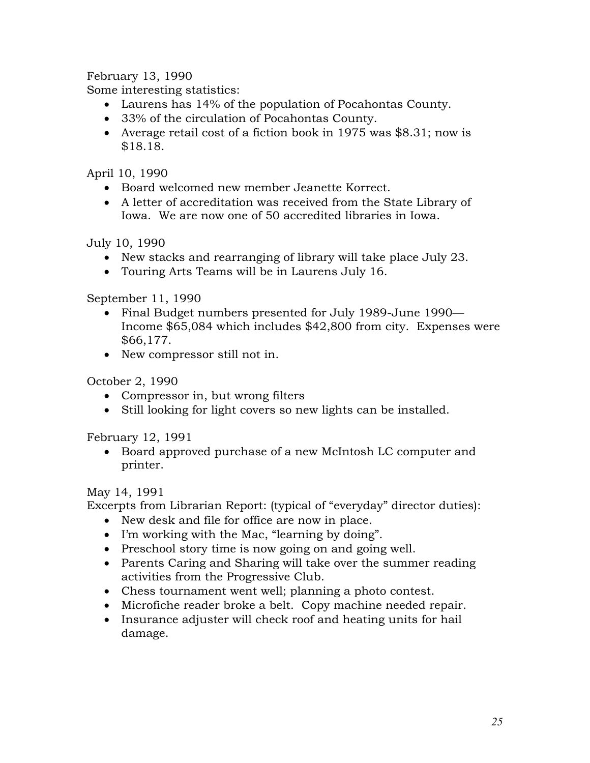February 13, 1990

Some interesting statistics:

- Laurens has 14% of the population of Pocahontas County.
- 33% of the circulation of Pocahontas County.
- Average retail cost of a fiction book in 1975 was \$8.31; now is \$18.18.

April 10, 1990

- Board welcomed new member Jeanette Korrect.
- A letter of accreditation was received from the State Library of Iowa. We are now one of 50 accredited libraries in Iowa.

July 10, 1990

- New stacks and rearranging of library will take place July 23.
- Touring Arts Teams will be in Laurens July 16.

September 11, 1990

- Final Budget numbers presented for July 1989-June 1990— Income \$65,084 which includes \$42,800 from city. Expenses were \$66,177.
- New compressor still not in.

October 2, 1990

- Compressor in, but wrong filters
- Still looking for light covers so new lights can be installed.

February 12, 1991

 Board approved purchase of a new McIntosh LC computer and printer.

May 14, 1991

Excerpts from Librarian Report: (typical of "everyday" director duties):

- New desk and file for office are now in place.
- I'm working with the Mac, "learning by doing".
- Preschool story time is now going on and going well.
- Parents Caring and Sharing will take over the summer reading activities from the Progressive Club.
- Chess tournament went well; planning a photo contest.
- Microfiche reader broke a belt. Copy machine needed repair.
- Insurance adjuster will check roof and heating units for hail damage.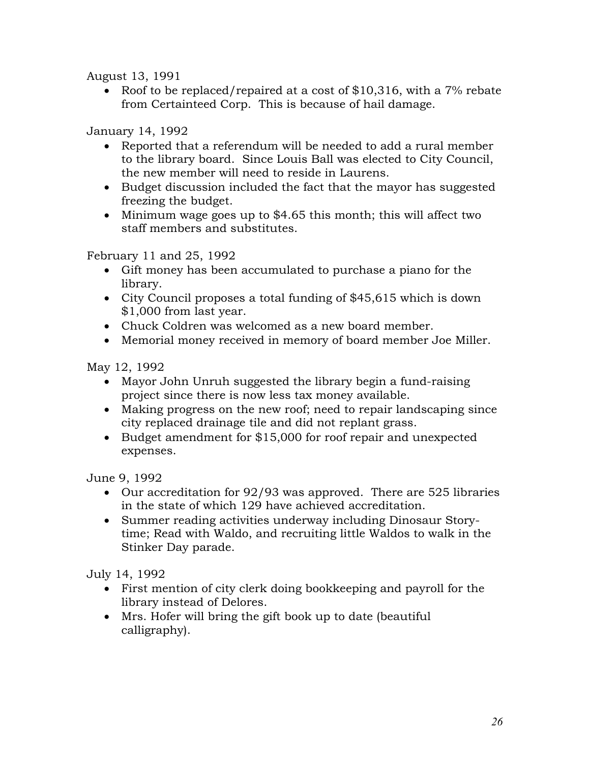August 13, 1991

• Roof to be replaced/repaired at a cost of \$10,316, with a 7% rebate from Certainteed Corp. This is because of hail damage.

## January 14, 1992

- Reported that a referendum will be needed to add a rural member to the library board. Since Louis Ball was elected to City Council, the new member will need to reside in Laurens.
- Budget discussion included the fact that the mayor has suggested freezing the budget.
- Minimum wage goes up to \$4.65 this month; this will affect two staff members and substitutes.

February 11 and 25, 1992

- Gift money has been accumulated to purchase a piano for the library.
- City Council proposes a total funding of \$45,615 which is down \$1,000 from last year.
- Chuck Coldren was welcomed as a new board member.
- Memorial money received in memory of board member Joe Miller.

May 12, 1992

- Mayor John Unruh suggested the library begin a fund-raising project since there is now less tax money available.
- Making progress on the new roof; need to repair landscaping since city replaced drainage tile and did not replant grass.
- Budget amendment for \$15,000 for roof repair and unexpected expenses.

June 9, 1992

- Our accreditation for 92/93 was approved. There are 525 libraries in the state of which 129 have achieved accreditation.
- Summer reading activities underway including Dinosaur Storytime; Read with Waldo, and recruiting little Waldos to walk in the Stinker Day parade.

July 14, 1992

- First mention of city clerk doing bookkeeping and payroll for the library instead of Delores.
- Mrs. Hofer will bring the gift book up to date (beautiful calligraphy).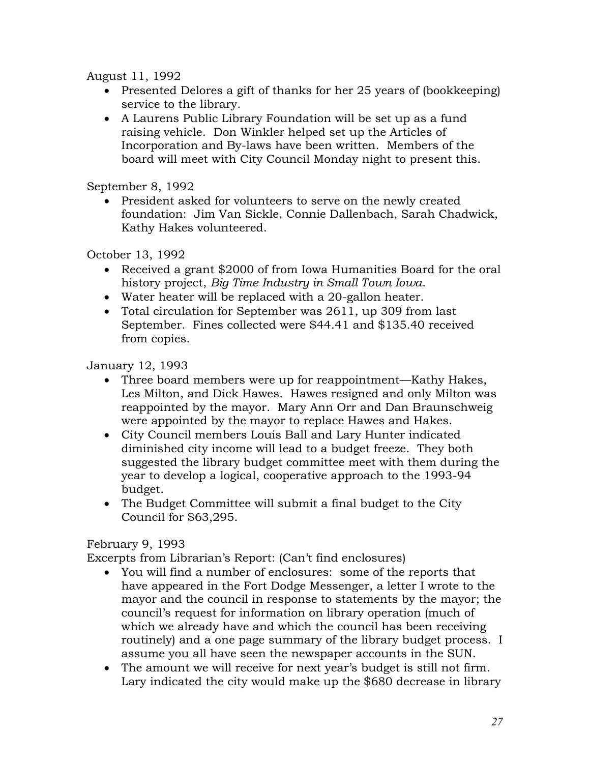August 11, 1992

- Presented Delores a gift of thanks for her 25 years of (bookkeeping) service to the library.
- A Laurens Public Library Foundation will be set up as a fund raising vehicle. Don Winkler helped set up the Articles of Incorporation and By-laws have been written. Members of the board will meet with City Council Monday night to present this.

September 8, 1992

• President asked for volunteers to serve on the newly created foundation: Jim Van Sickle, Connie Dallenbach, Sarah Chadwick, Kathy Hakes volunteered.

October 13, 1992

- Received a grant \$2000 of from Iowa Humanities Board for the oral history project, *Big Time Industry in Small Town Iowa*.
- Water heater will be replaced with a 20-gallon heater.
- Total circulation for September was 2611, up 309 from last September. Fines collected were \$44.41 and \$135.40 received from copies.

January 12, 1993

- Three board members were up for reappointment—Kathy Hakes, Les Milton, and Dick Hawes. Hawes resigned and only Milton was reappointed by the mayor. Mary Ann Orr and Dan Braunschweig were appointed by the mayor to replace Hawes and Hakes.
- City Council members Louis Ball and Lary Hunter indicated diminished city income will lead to a budget freeze. They both suggested the library budget committee meet with them during the year to develop a logical, cooperative approach to the 1993-94 budget.
- The Budget Committee will submit a final budget to the City Council for \$63,295.

## February 9, 1993

Excerpts from Librarian's Report: (Can't find enclosures)

- You will find a number of enclosures: some of the reports that have appeared in the Fort Dodge Messenger, a letter I wrote to the mayor and the council in response to statements by the mayor; the council's request for information on library operation (much of which we already have and which the council has been receiving routinely) and a one page summary of the library budget process. I assume you all have seen the newspaper accounts in the SUN.
- The amount we will receive for next year's budget is still not firm. Lary indicated the city would make up the \$680 decrease in library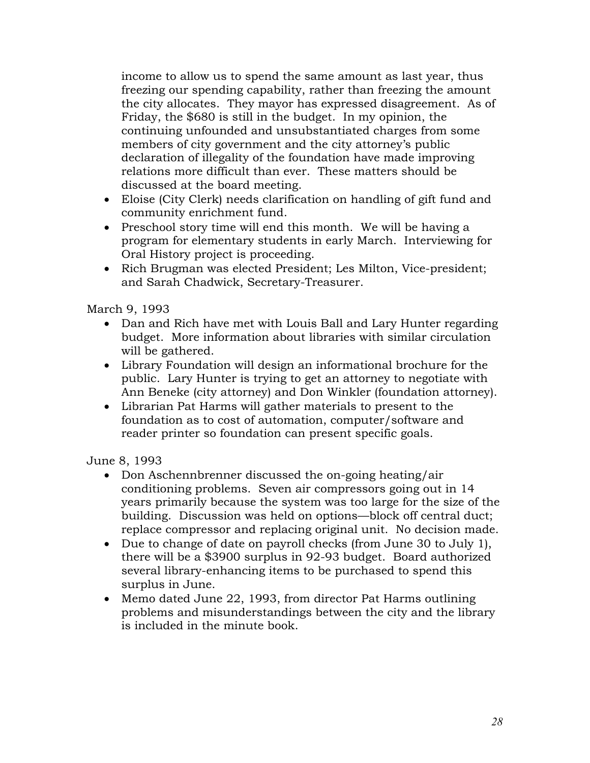income to allow us to spend the same amount as last year, thus freezing our spending capability, rather than freezing the amount the city allocates. They mayor has expressed disagreement. As of Friday, the \$680 is still in the budget. In my opinion, the continuing unfounded and unsubstantiated charges from some members of city government and the city attorney's public declaration of illegality of the foundation have made improving relations more difficult than ever. These matters should be discussed at the board meeting.

- Eloise (City Clerk) needs clarification on handling of gift fund and community enrichment fund.
- Preschool story time will end this month. We will be having a program for elementary students in early March. Interviewing for Oral History project is proceeding.
- Rich Brugman was elected President; Les Milton, Vice-president; and Sarah Chadwick, Secretary-Treasurer.

March 9, 1993

- Dan and Rich have met with Louis Ball and Lary Hunter regarding budget. More information about libraries with similar circulation will be gathered.
- Library Foundation will design an informational brochure for the public. Lary Hunter is trying to get an attorney to negotiate with Ann Beneke (city attorney) and Don Winkler (foundation attorney).
- Librarian Pat Harms will gather materials to present to the foundation as to cost of automation, computer/software and reader printer so foundation can present specific goals.

June 8, 1993

- Don Aschennbrenner discussed the on-going heating/air conditioning problems. Seven air compressors going out in 14 years primarily because the system was too large for the size of the building. Discussion was held on options—block off central duct; replace compressor and replacing original unit. No decision made.
- Due to change of date on payroll checks (from June 30 to July 1), there will be a \$3900 surplus in 92-93 budget. Board authorized several library-enhancing items to be purchased to spend this surplus in June.
- Memo dated June 22, 1993, from director Pat Harms outlining problems and misunderstandings between the city and the library is included in the minute book.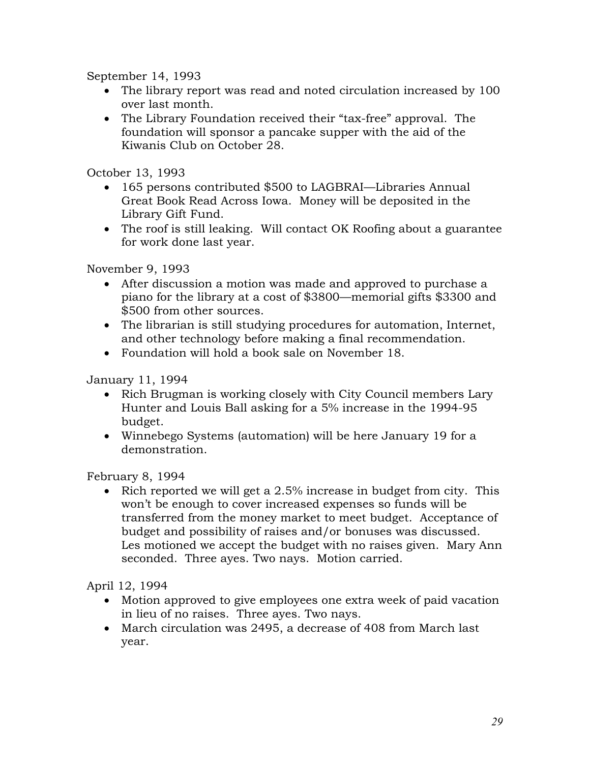September 14, 1993

- The library report was read and noted circulation increased by 100 over last month.
- The Library Foundation received their "tax-free" approval. The foundation will sponsor a pancake supper with the aid of the Kiwanis Club on October 28.

October 13, 1993

- 165 persons contributed \$500 to LAGBRAI—Libraries Annual Great Book Read Across Iowa. Money will be deposited in the Library Gift Fund.
- The roof is still leaking. Will contact OK Roofing about a guarantee for work done last year.

November 9, 1993

- After discussion a motion was made and approved to purchase a piano for the library at a cost of \$3800—memorial gifts \$3300 and \$500 from other sources.
- The librarian is still studying procedures for automation, Internet, and other technology before making a final recommendation.
- Foundation will hold a book sale on November 18.

January 11, 1994

- Rich Brugman is working closely with City Council members Lary Hunter and Louis Ball asking for a 5% increase in the 1994-95 budget.
- Winnebego Systems (automation) will be here January 19 for a demonstration.

February 8, 1994

 $\bullet$  Rich reported we will get a 2.5% increase in budget from city. This won't be enough to cover increased expenses so funds will be transferred from the money market to meet budget. Acceptance of budget and possibility of raises and/or bonuses was discussed. Les motioned we accept the budget with no raises given. Mary Ann seconded. Three ayes. Two nays. Motion carried.

April 12, 1994

- Motion approved to give employees one extra week of paid vacation in lieu of no raises. Three ayes. Two nays.
- March circulation was 2495, a decrease of 408 from March last year.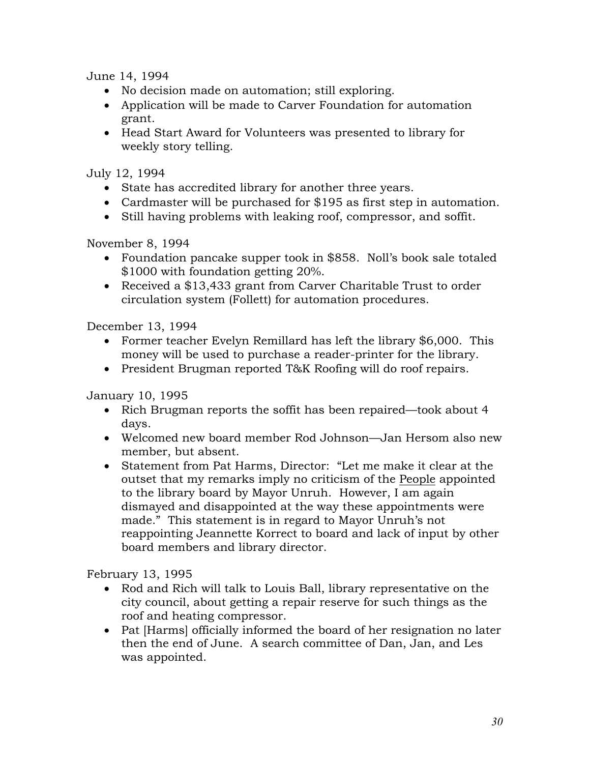June 14, 1994

- No decision made on automation; still exploring.
- Application will be made to Carver Foundation for automation grant.
- Head Start Award for Volunteers was presented to library for weekly story telling.

July 12, 1994

- State has accredited library for another three years.
- Cardmaster will be purchased for \$195 as first step in automation.
- Still having problems with leaking roof, compressor, and soffit.

November 8, 1994

- Foundation pancake supper took in \$858. Noll's book sale totaled \$1000 with foundation getting 20%.
- Received a \$13,433 grant from Carver Charitable Trust to order circulation system (Follett) for automation procedures.

December 13, 1994

- Former teacher Evelyn Remillard has left the library \$6,000. This money will be used to purchase a reader-printer for the library.
- President Brugman reported T&K Roofing will do roof repairs.

January 10, 1995

- Rich Brugman reports the soffit has been repaired—took about 4 days.
- Welcomed new board member Rod Johnson—Jan Hersom also new member, but absent.
- Statement from Pat Harms, Director: "Let me make it clear at the outset that my remarks imply no criticism of the People appointed to the library board by Mayor Unruh. However, I am again dismayed and disappointed at the way these appointments were made." This statement is in regard to Mayor Unruh's not reappointing Jeannette Korrect to board and lack of input by other board members and library director.

February 13, 1995

- Rod and Rich will talk to Louis Ball, library representative on the city council, about getting a repair reserve for such things as the roof and heating compressor.
- Pat [Harms] officially informed the board of her resignation no later then the end of June. A search committee of Dan, Jan, and Les was appointed.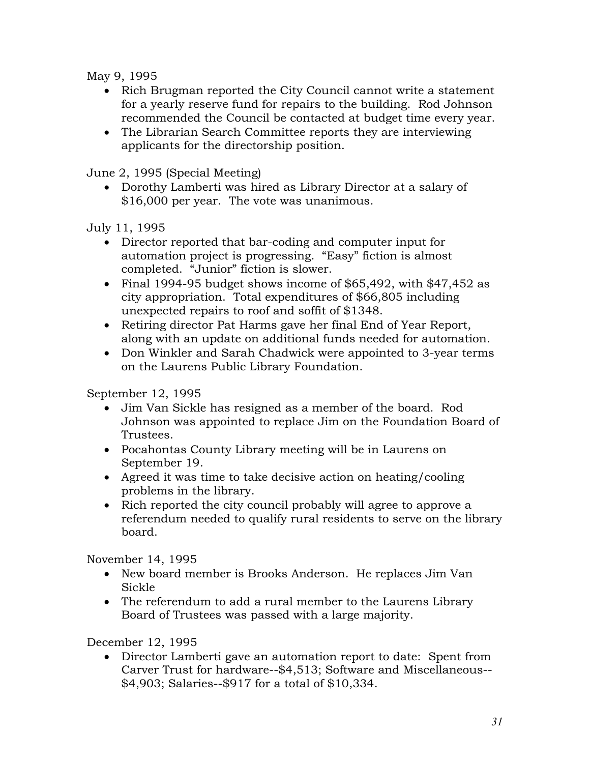May 9, 1995

- Rich Brugman reported the City Council cannot write a statement for a yearly reserve fund for repairs to the building. Rod Johnson recommended the Council be contacted at budget time every year.
- The Librarian Search Committee reports they are interviewing applicants for the directorship position.

June 2, 1995 (Special Meeting)

 Dorothy Lamberti was hired as Library Director at a salary of \$16,000 per year. The vote was unanimous.

July 11, 1995

- Director reported that bar-coding and computer input for automation project is progressing. "Easy" fiction is almost completed. "Junior" fiction is slower.
- Final 1994-95 budget shows income of \$65,492, with \$47,452 as city appropriation. Total expenditures of \$66,805 including unexpected repairs to roof and soffit of \$1348.
- Retiring director Pat Harms gave her final End of Year Report, along with an update on additional funds needed for automation.
- Don Winkler and Sarah Chadwick were appointed to 3-year terms on the Laurens Public Library Foundation.

September 12, 1995

- Jim Van Sickle has resigned as a member of the board. Rod Johnson was appointed to replace Jim on the Foundation Board of Trustees.
- Pocahontas County Library meeting will be in Laurens on September 19.
- Agreed it was time to take decisive action on heating/cooling problems in the library.
- Rich reported the city council probably will agree to approve a referendum needed to qualify rural residents to serve on the library board.

November 14, 1995

- New board member is Brooks Anderson. He replaces Jim Van Sickle
- The referendum to add a rural member to the Laurens Library Board of Trustees was passed with a large majority.

December 12, 1995

 Director Lamberti gave an automation report to date: Spent from Carver Trust for hardware--\$4,513; Software and Miscellaneous-- \$4,903; Salaries--\$917 for a total of \$10,334.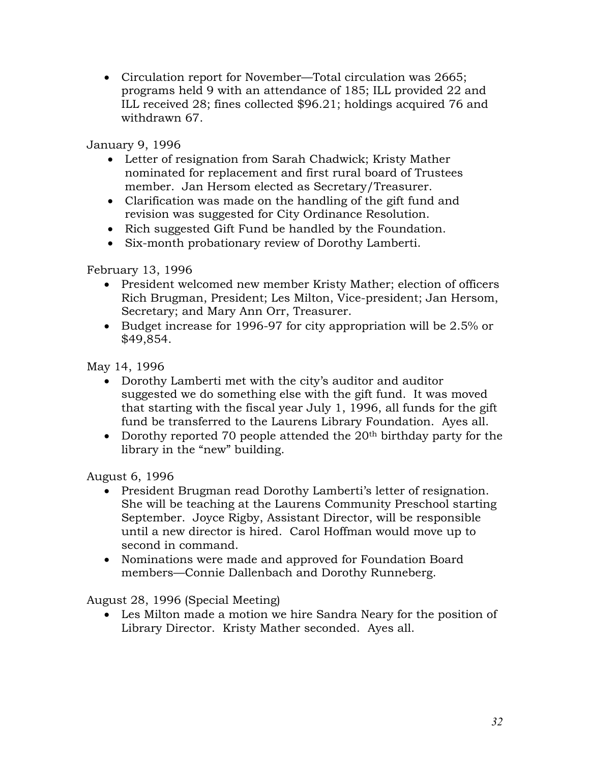• Circulation report for November—Total circulation was 2665; programs held 9 with an attendance of 185; ILL provided 22 and ILL received 28; fines collected \$96.21; holdings acquired 76 and withdrawn 67.

January 9, 1996

- Letter of resignation from Sarah Chadwick; Kristy Mather nominated for replacement and first rural board of Trustees member. Jan Hersom elected as Secretary/Treasurer.
- Clarification was made on the handling of the gift fund and revision was suggested for City Ordinance Resolution.
- Rich suggested Gift Fund be handled by the Foundation.
- Six-month probationary review of Dorothy Lamberti.

February 13, 1996

- President welcomed new member Kristy Mather; election of officers Rich Brugman, President; Les Milton, Vice-president; Jan Hersom, Secretary; and Mary Ann Orr, Treasurer.
- Budget increase for 1996-97 for city appropriation will be 2.5% or \$49,854.

May 14, 1996

- Dorothy Lamberti met with the city's auditor and auditor suggested we do something else with the gift fund. It was moved that starting with the fiscal year July 1, 1996, all funds for the gift fund be transferred to the Laurens Library Foundation. Ayes all.
- Dorothy reported 70 people attended the  $20<sup>th</sup>$  birthday party for the library in the "new" building.

August 6, 1996

- President Brugman read Dorothy Lamberti's letter of resignation. She will be teaching at the Laurens Community Preschool starting September. Joyce Rigby, Assistant Director, will be responsible until a new director is hired. Carol Hoffman would move up to second in command.
- Nominations were made and approved for Foundation Board members—Connie Dallenbach and Dorothy Runneberg.

August 28, 1996 (Special Meeting)

 Les Milton made a motion we hire Sandra Neary for the position of Library Director. Kristy Mather seconded. Ayes all.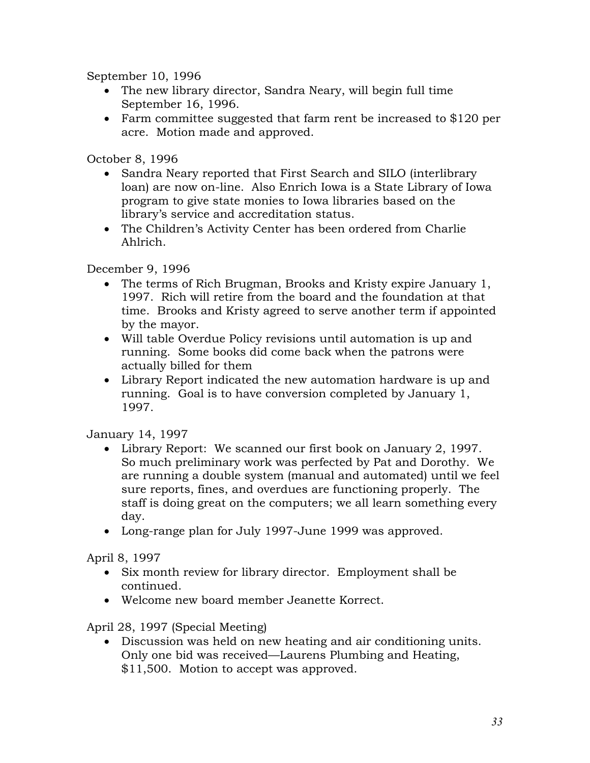September 10, 1996

- The new library director, Sandra Neary, will begin full time September 16, 1996.
- Farm committee suggested that farm rent be increased to \$120 per acre. Motion made and approved.

October 8, 1996

- Sandra Neary reported that First Search and SILO (interlibrary loan) are now on-line. Also Enrich Iowa is a State Library of Iowa program to give state monies to Iowa libraries based on the library's service and accreditation status.
- The Children's Activity Center has been ordered from Charlie Ahlrich.

December 9, 1996

- The terms of Rich Brugman, Brooks and Kristy expire January 1, 1997. Rich will retire from the board and the foundation at that time. Brooks and Kristy agreed to serve another term if appointed by the mayor.
- Will table Overdue Policy revisions until automation is up and running. Some books did come back when the patrons were actually billed for them
- Library Report indicated the new automation hardware is up and running. Goal is to have conversion completed by January 1, 1997.

January 14, 1997

- Library Report: We scanned our first book on January 2, 1997. So much preliminary work was perfected by Pat and Dorothy. We are running a double system (manual and automated) until we feel sure reports, fines, and overdues are functioning properly. The staff is doing great on the computers; we all learn something every day.
- Long-range plan for July 1997-June 1999 was approved.

April 8, 1997

- Six month review for library director. Employment shall be continued.
- Welcome new board member Jeanette Korrect.

April 28, 1997 (Special Meeting)

 Discussion was held on new heating and air conditioning units. Only one bid was received—Laurens Plumbing and Heating, \$11,500. Motion to accept was approved.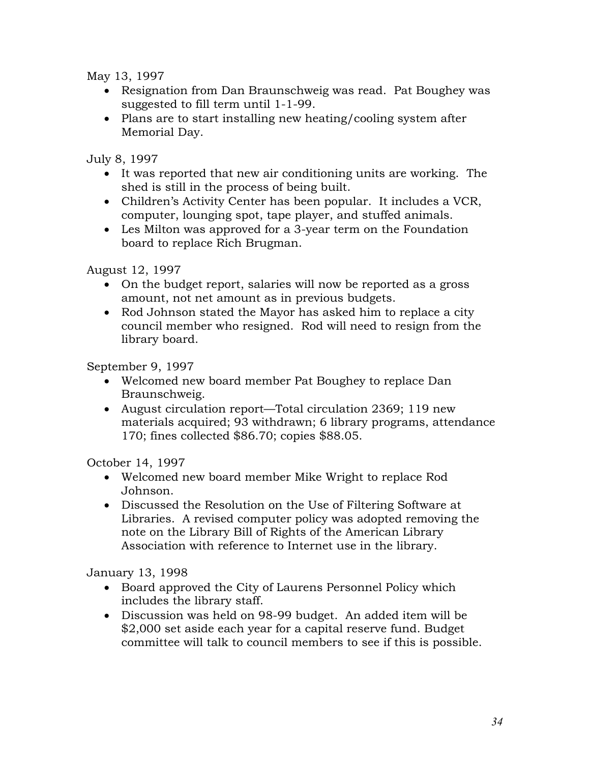May 13, 1997

- Resignation from Dan Braunschweig was read. Pat Boughey was suggested to fill term until 1-1-99.
- Plans are to start installing new heating/cooling system after Memorial Day.

July 8, 1997

- It was reported that new air conditioning units are working. The shed is still in the process of being built.
- Children's Activity Center has been popular. It includes a VCR, computer, lounging spot, tape player, and stuffed animals.
- Les Milton was approved for a 3-year term on the Foundation board to replace Rich Brugman.

August 12, 1997

- On the budget report, salaries will now be reported as a gross amount, not net amount as in previous budgets.
- Rod Johnson stated the Mayor has asked him to replace a city council member who resigned. Rod will need to resign from the library board.

September 9, 1997

- Welcomed new board member Pat Boughey to replace Dan Braunschweig.
- August circulation report—Total circulation 2369; 119 new materials acquired; 93 withdrawn; 6 library programs, attendance 170; fines collected \$86.70; copies \$88.05.

October 14, 1997

- Welcomed new board member Mike Wright to replace Rod Johnson.
- Discussed the Resolution on the Use of Filtering Software at Libraries. A revised computer policy was adopted removing the note on the Library Bill of Rights of the American Library Association with reference to Internet use in the library.

January 13, 1998

- Board approved the City of Laurens Personnel Policy which includes the library staff.
- Discussion was held on 98-99 budget. An added item will be \$2,000 set aside each year for a capital reserve fund. Budget committee will talk to council members to see if this is possible.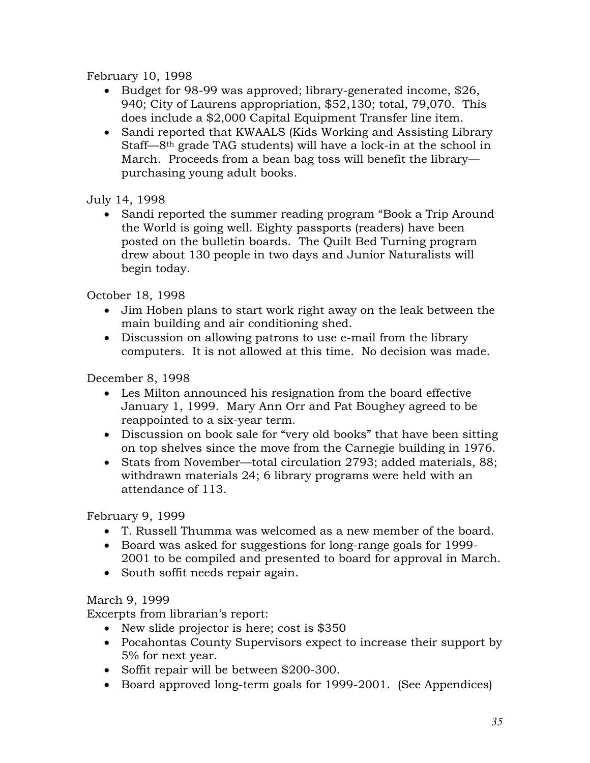## February 10, 1998

- Budget for 98-99 was approved; library-generated income, \$26, 940; City of Laurens appropriation, \$52,130; total, 79,070. This does include a \$2,000 Capital Equipment Transfer line item.
- Sandi reported that KWAALS (Kids Working and Assisting Library Staff—8th grade TAG students) will have a lock-in at the school in March. Proceeds from a bean bag toss will benefit the library purchasing young adult books.

July 14, 1998

 Sandi reported the summer reading program "Book a Trip Around the World is going well. Eighty passports (readers) have been posted on the bulletin boards. The Quilt Bed Turning program drew about 130 people in two days and Junior Naturalists will begin today.

October 18, 1998

- Jim Hoben plans to start work right away on the leak between the main building and air conditioning shed.
- Discussion on allowing patrons to use e-mail from the library computers. It is not allowed at this time. No decision was made.

December 8, 1998

- Les Milton announced his resignation from the board effective January 1, 1999. Mary Ann Orr and Pat Boughey agreed to be reappointed to a six-year term.
- Discussion on book sale for "very old books" that have been sitting on top shelves since the move from the Carnegie building in 1976.
- Stats from November—total circulation 2793; added materials, 88; withdrawn materials 24; 6 library programs were held with an attendance of 113.

February 9, 1999

- T. Russell Thumma was welcomed as a new member of the board.
- Board was asked for suggestions for long-range goals for 1999- 2001 to be compiled and presented to board for approval in March.
- South soffit needs repair again.

## March 9, 1999

Excerpts from librarian's report:

- New slide projector is here; cost is \$350
- Pocahontas County Supervisors expect to increase their support by 5% for next year.
- Soffit repair will be between \$200-300.
- Board approved long-term goals for 1999-2001. (See Appendices)